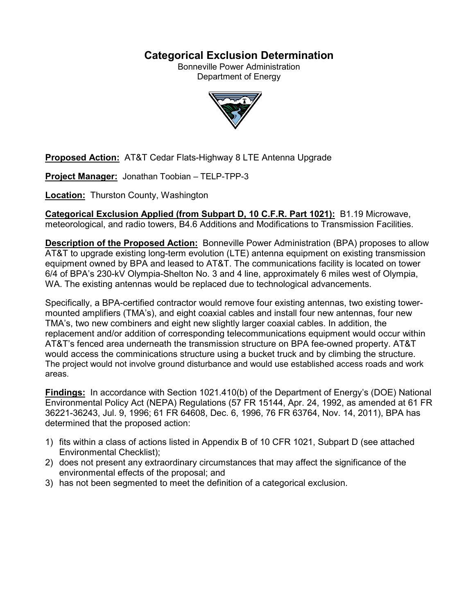# **Categorical Exclusion Determination**

Bonneville Power Administration Department of Energy



**Proposed Action:** AT&T Cedar Flats-Highway 8 LTE Antenna Upgrade

**Project Manager:** Jonathan Toobian – TELP-TPP-3

**Location:** Thurston County, Washington

**Categorical Exclusion Applied (from Subpart D, 10 C.F.R. Part 1021):** B1.19 Microwave, meteorological, and radio towers, B4.6 Additions and Modifications to Transmission Facilities.

**Description of the Proposed Action:** Bonneville Power Administration (BPA) proposes to allow AT&T to upgrade existing long-term evolution (LTE) antenna equipment on existing transmission equipment owned by BPA and leased to AT&T. The communications facility is located on tower 6/4 of BPA's 230-kV Olympia-Shelton No. 3 and 4 line, approximately 6 miles west of Olympia, WA. The existing antennas would be replaced due to technological advancements.

Specifically, a BPA-certified contractor would remove four existing antennas, two existing towermounted amplifiers (TMA's), and eight coaxial cables and install four new antennas, four new TMA's, two new combiners and eight new slightly larger coaxial cables. In addition, the replacement and/or addition of corresponding telecommunications equipment would occur within AT&T's fenced area underneath the transmission structure on BPA fee-owned property. AT&T would access the comminications structure using a bucket truck and by climbing the structure. The project would not involve ground disturbance and would use established access roads and work areas.

**Findings:** In accordance with Section 1021.410(b) of the Department of Energy's (DOE) National Environmental Policy Act (NEPA) Regulations (57 FR 15144, Apr. 24, 1992, as amended at 61 FR 36221-36243, Jul. 9, 1996; 61 FR 64608, Dec. 6, 1996, 76 FR 63764, Nov. 14, 2011), BPA has determined that the proposed action:

- 1) fits within a class of actions listed in Appendix B of 10 CFR 1021, Subpart D (see attached Environmental Checklist);
- 2) does not present any extraordinary circumstances that may affect the significance of the environmental effects of the proposal; and
- 3) has not been segmented to meet the definition of a categorical exclusion.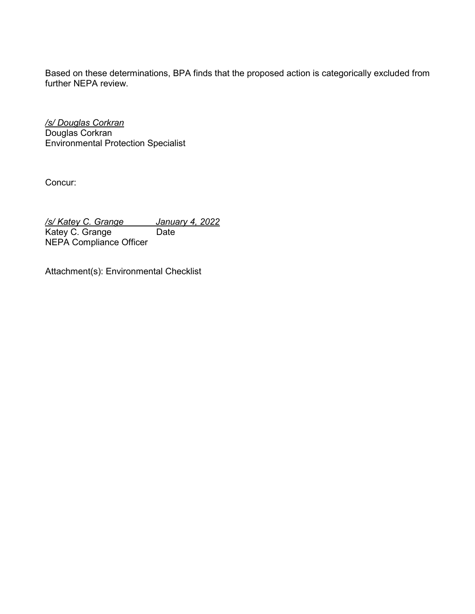Based on these determinations, BPA finds that the proposed action is categorically excluded from further NEPA review.

*/s/ Douglas Corkran* Douglas Corkran Environmental Protection Specialist

Concur:

*/s/ Katey C. Grange January 4, 2022* Katey C. Grange NEPA Compliance Officer

Attachment(s): Environmental Checklist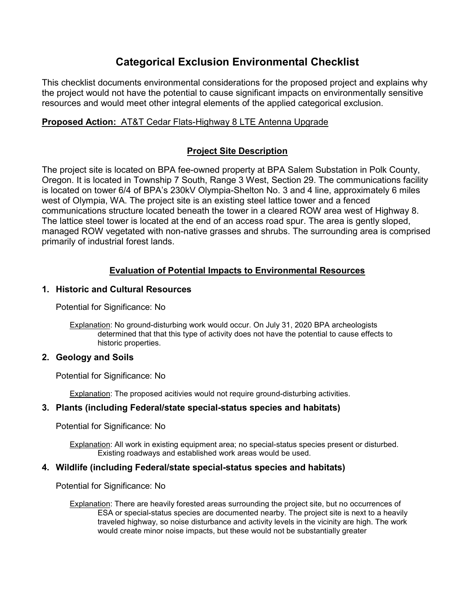# **Categorical Exclusion Environmental Checklist**

This checklist documents environmental considerations for the proposed project and explains why the project would not have the potential to cause significant impacts on environmentally sensitive resources and would meet other integral elements of the applied categorical exclusion.

# **Proposed Action:** AT&T Cedar Flats-Highway 8 LTE Antenna Upgrade

# **Project Site Description**

The project site is located on BPA fee-owned property at BPA Salem Substation in Polk County, Oregon. It is located in Township 7 South, Range 3 West, Section 29. The communications facility is located on tower 6/4 of BPA's 230kV Olympia-Shelton No. 3 and 4 line, approximately 6 miles west of Olympia, WA. The project site is an existing steel lattice tower and a fenced communications structure located beneath the tower in a cleared ROW area west of Highway 8. The lattice steel tower is located at the end of an access road spur. The area is gently sloped, managed ROW vegetated with non-native grasses and shrubs. The surrounding area is comprised primarily of industrial forest lands.

# **Evaluation of Potential Impacts to Environmental Resources**

### **1. Historic and Cultural Resources**

Potential for Significance: No

Explanation: No ground-disturbing work would occur. On July 31, 2020 BPA archeologists determined that that this type of activity does not have the potential to cause effects to historic properties.

### **2. Geology and Soils**

Potential for Significance: No

Explanation: The proposed acitivies would not require ground-disturbing activities.

### **3. Plants (including Federal/state special-status species and habitats)**

Potential for Significance: No

Explanation: All work in existing equipment area; no special-status species present or disturbed. Existing roadways and established work areas would be used.

# **4. Wildlife (including Federal/state special-status species and habitats)**

Potential for Significance: No

Explanation: There are heavily forested areas surrounding the project site, but no occurrences of ESA or special-status species are documented nearby. The project site is next to a heavily traveled highway, so noise disturbance and activity levels in the vicinity are high. The work would create minor noise impacts, but these would not be substantially greater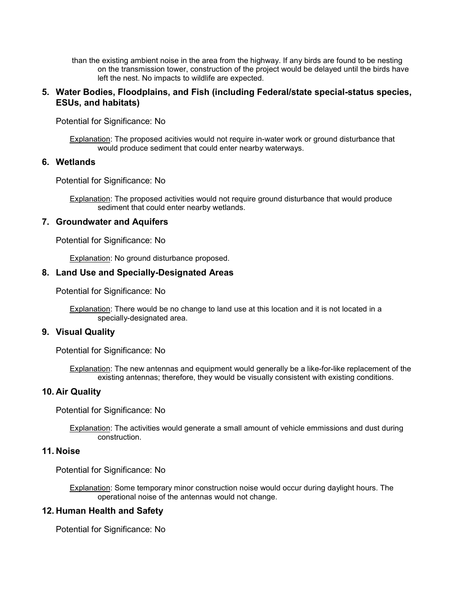than the existing ambient noise in the area from the highway. If any birds are found to be nesting on the transmission tower, construction of the project would be delayed until the birds have left the nest. No impacts to wildlife are expected.

### **5. Water Bodies, Floodplains, and Fish (including Federal/state special-status species, ESUs, and habitats)**

Potential for Significance: No

Explanation: The proposed acitivies would not require in-water work or ground disturbance that would produce sediment that could enter nearby waterways.

### **6. Wetlands**

Potential for Significance: No

Explanation: The proposed activities would not require ground disturbance that would produce sediment that could enter nearby wetlands.

#### **7. Groundwater and Aquifers**

Potential for Significance: No

Explanation: No ground disturbance proposed.

#### **8. Land Use and Specially-Designated Areas**

Potential for Significance: No

Explanation: There would be no change to land use at this location and it is not located in a specially-designated area.

### **9. Visual Quality**

Potential for Significance: No

Explanation: The new antennas and equipment would generally be a like-for-like replacement of the existing antennas; therefore, they would be visually consistent with existing conditions.

#### **10. Air Quality**

Potential for Significance: No

Explanation: The activities would generate a small amount of vehicle emmissions and dust during construction.

#### **11. Noise**

Potential for Significance: No

Explanation: Some temporary minor construction noise would occur during daylight hours. The operational noise of the antennas would not change.

### **12. Human Health and Safety**

Potential for Significance: No